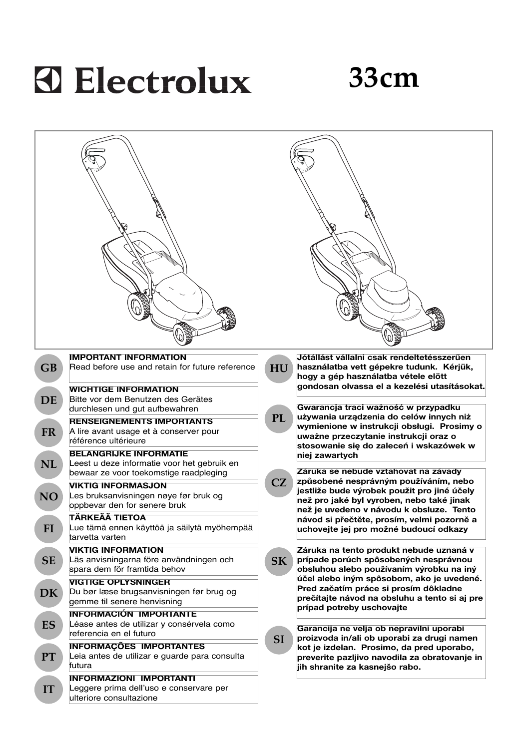# **A Electrolux**

## **33cm**

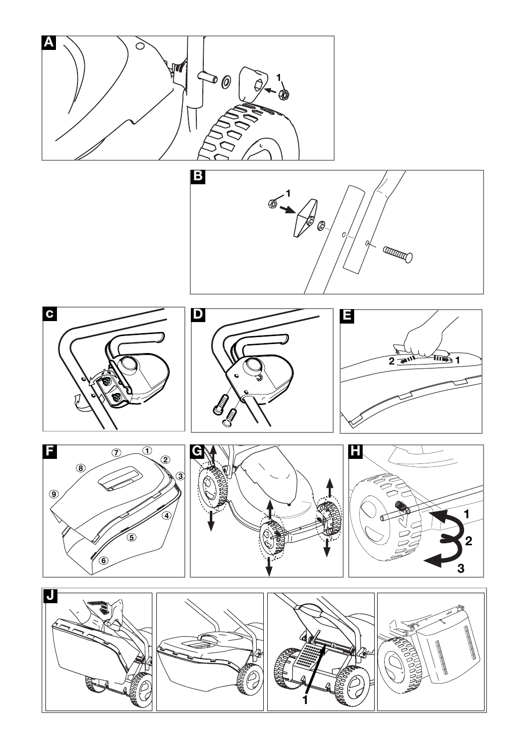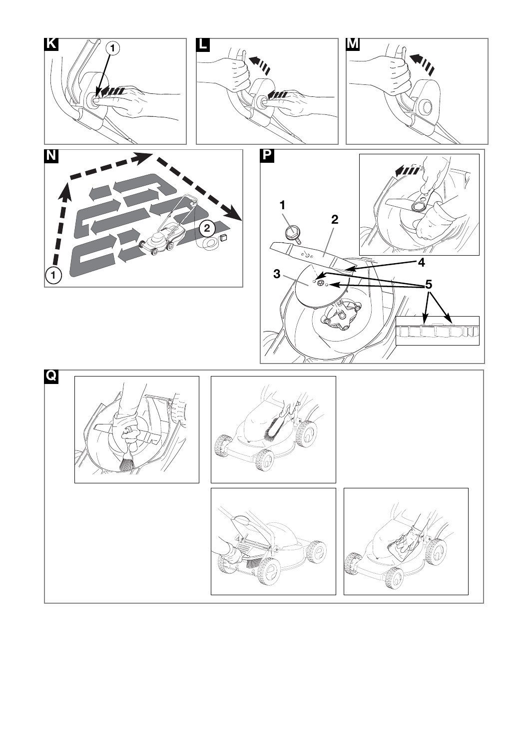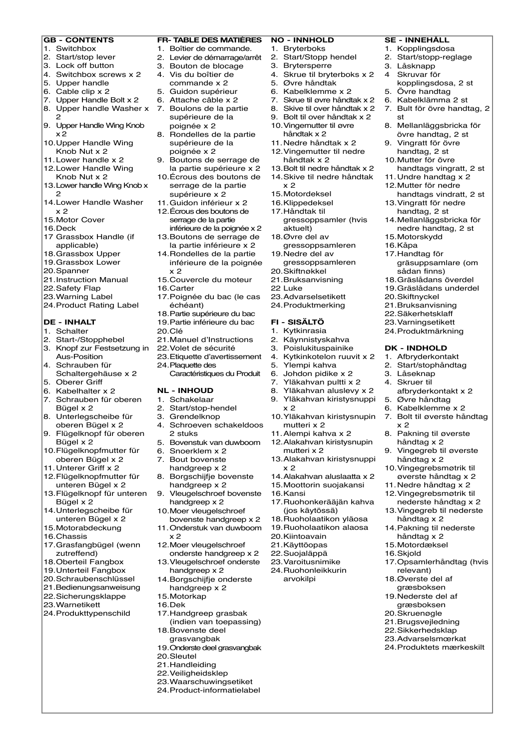#### **GB - CONTENTS**

- 1. Switchbox
- 2. Start/stop lever
- 3. Lock off button
- 4. Switchbox screws x 2
- 5. Upper handle
- 6. Cable clip x 2
- 7. Upper Handle Bolt x 2
- 2 9. Upper Handle Wing Knob
- x 2
- 10.Upper Handle Wing Knob Nut x 2
- 11.Lower handle x 2
- 12.Lower Handle Wing
- Knob Nut x 2 13.Lower handle Wing Knob x  $\sim$
- 14.Lower Handle Washer x 2
- 15.Motor Cover
- 16.Deck
- 17 Grassbox Handle (if applicable)
- 18.Grassbox Upper
- 19.Grassbox Lower
- 20.Spanner
- 21.Instruction Manual
- 22.Safety Flap 23.Warning Label
- 24.Product Rating Label
- 

## **DE - INHALT**

- 1. Schalter
- 2. Start-/Stopphebel 3. Knopf zur Festsetzung in 22.Volet de sécurité
- Aus-Position 4. Schrauben für
- Schaltergehäuse x 2 5. Oberer Griff
- 6. Kabelhalter x 2
- 7. Schrauben für oberen Bügel x 2
- 8. Unterlegscheibe für oberen Bügel x 2
- 9. Flügelknopf für oberen Bügel x 2
- 10.Flügelknopfmutter für oberen Bügel x 2
- 11.Unterer Griff x 2
- 12.Flügelknopfmutter für unteren Bügel x 2
- 13.Flügelknopf für unteren Bügel x 2
- 14.Unterlegscheibe für unteren Bügel x 2
- 15.Motorabdeckung
- 16.Chassis
- 17.Grasfangbügel (wenn zutreffend)
- 18.Oberteil Fangbox
- 19.Unterteil Fangbox 20.Schraubenschlüssel
- 21.Bedienungsanweisung
- 22.Sicherungsklappe
- 23.Warnetikett
- 24.Produkttypenschild

#### **FR- TABLE DES MATIÈRES**

- 1. Boîtier de commande.
- 2. Levier de démarrage/arrêt 3. Bouton de blocage
- 4. Vis du boîtier de
- commande x 2 5. Guidon supérieur
- 6. Attache câble x 2
- 8. Upper handle Washer x 7. Boulons de la partie supérieure de la
	- poignée x 2 8. Rondelles de la partie supérieure de la
	- poignée x 2 9. Boutons de serrage de
	- la partie supérieure x 2 10.Écrous des boutons de
	- serrage de la partie supérieure x 2
	- 11.Guidon inférieur x 2
	- 12.Écrous des boutons de serrage de la partie
	- inférieure de la poignée x 2 13.Boutons de serrage de la partie inférieure x 2
	- 14.Rondelles de la partie inférieure de la poignée x 2
	- 15.Couvercle du moteur
	- 16.Carter
	- 17.Poignée du bac (le cas échéant)
	- 18.Partie supérieure du bac
	- 19.Partie inférieure du bac
	- 20.Clé 21.Manuel d'Instructions
	-
	- 23.Etiquette d'avertissement
	- 24.Plaquette des Caractéristiques du Produit

#### **NL - INHOUD**

- 1. Schakelaar
- 2. Start/stop-hendel
- 3. Grendelknop
- 4. Schroeven schakeldoos 2 stuks
- 5. Bovenstuk van duwboom
- 6. Snoerklem x 2
- 7. Bout bovenste handgreep x 2
- 8. Borgschijfje bovenste
- handgreep x 2 9. Vleugelschroef bovenste
- handgreep x 2 10.Moer vleugelschroef
- bovenste handgreep x 2 11.Onderstuk van duwboom
- x 2 12.Moer vleugelschroef
- onderste handgreep x 2 13.Vleugelschroef onderste
- handgreep x 2 14.Borgschijfje onderste
- handgreep x 2 15.Motorkap
- 16.Dek
- 17.Handgreep grasbak
- (indien van toepassing)
- 18.Bovenste deel grasvangbak
- 19.Onderste deel grasvangbak
- 20.Sleutel
- 21.Handleiding
- 22.Veiligheidsklep 23.Waarschuwingsetiket
- 24.Product-informatielabel

#### **NO - INNHOLD** 1. Bryterboks

2. Start/Stopp hendel

6. Kabelklemme x 2 7. Skrue til øvre håndtak x 2 8. Skive til over håndtak x 2 9. Bolt til over håndtak x 2 10.Vingemutter til øvre håndtak x 2 11.Nedre håndtak x 2 12.Vingemutter til nedre håndtak x 2 13.Bolt til nedre håndtak x 2 14.Skive til nedre håndtak

4. Skrue til bryterboks x 2

**SE - INNEHÅLL** 1. Kopplingsdosa 2. Start/stopp-reglage 3. Låsknapp 4 Skruvar för

st

kopplingsdosa, 2 st 5. Övre handtag 6. Kabelklämma 2 st 7. Bult för övre handtag, 2

8. Mellanläggsbricka för övre handtag, 2 st 9. Vingratt för övre handtag, 2 st 10.Mutter för övre handtags vingratt, 2 st 11.Undre handtag x 2 12.Mutter för nedre handtags vindratt, 2 st 13.Vingratt för nedre handtag, 2 st 14.Mellanläggsbricka för nedre handtag, 2 st 15.Motorskydd 16.Kåpa 17.Handtag för gräsuppsamlare (om sådan finns) 18.Gräslådans överdel 19.Gräslådans underdel 20.Skiftnyckel 21.Bruksanvisning 22.Säkerhetsklaff 23.Varningsetikett 24.Produktmärkning **DK - INDHOLD** 1. Afbryderkontakt 2. Start/stophåndtag 3. Låseknap 4. Skruer til

afbryderkontakt x 2 5. Øvre håndtag 6. Kabelklemme x 2 7. Bolt til øverste håndtag

8. Pakning til øverste håndtag x 2 9. Vingegreb til øverste håndtag x 2 10.Vingegrebsmøtrik til øverste håndtag x 2 11.Nedre håndtag x 2 12.Vingegrebsmøtrik til nederste håndtag x 2 13.Vingegreb til nederste håndtag x 2 14.Pakning til nederste håndtag x 2 15.Motordæksel 16.Skjold

17.Opsamlerhåndtag (hvis relevant) 18.Øverste del af græsboksen 19.Nederste del af græsboksen 20.Skruenøgle 21.Brugsvejledning 22.Sikkerhedsklap 23.Advarselsmœrkat 24.Produktets mærkeskilt

x 2

gressoppsamler (hvis

3. Brytersperre 5. Øvre håndtak

x 2 15.Motordeksel 16.Klippedeksel 17.Håndtak til

aktuelt) 18.Øvre del av gressoppsamleren 19.Nedre del av gressoppsamleren 20.Skiftnøkkel 21.Bruksanvisning 22 Luke 23.Advarselsetikett 24.Produktmerking **FI - SISÄLTÖ** 1. Kytkinrasia 2. Käynnistyskahva 3. Poislukituspainike 4. Kytkinkotelon ruuvit x 2 5. Ylempi kahva 6. Johdon pidike x 2 7. Yläkahvan pultti x 2 8. Yläkahvan aluslevy x 2 9. Yläkahvan kiristysnuppi

 $x<sub>2</sub>$ 

x 2

16.Kansi

10.Yläkahvan kiristysnupin mutteri x 2 11.Alempi kahva x 2 12.Alakahvan kiristysnupin mutteri x 2 13.Alakahvan kiristysnuppi

14.Alakahvan aluslaatta x 2 15.Moottorin suojakansi

17.Ruohonkerääjän kahva (jos käytössä) 18.Ruoholaatikon yläosa 19.Ruoholaatikon alaosa 20.Kiintoavain 21.Käyttöopas 22.Suojaläppä 23.Varoitusnimike 24.Ruohonleikkurin arvokilpi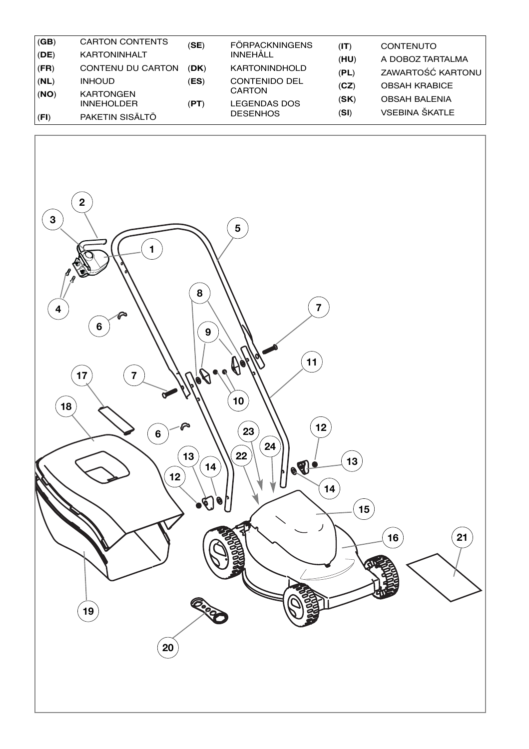| (GB) | <b>CARTON CONTENTS</b> | (SE) | <b>FÖRPACKNINGENS</b> | (T)  | <b>CONTENUTO</b>     |
|------|------------------------|------|-----------------------|------|----------------------|
| (DE) | <b>KARTONINHALT</b>    |      | INNEHÅLL              | (HU) | A DOBOZ TARTALMA     |
| (FR) | CONTENU DU CARTON      | (DK) | <b>KARTONINDHOLD</b>  | (PL) | ZAWARTOŚĆ KARTONU    |
| (NL) | <b>INHOUD</b>          | (ES) | <b>CONTENIDO DEL</b>  | (CZ) | <b>OBSAH KRABICE</b> |
| (NO) | <b>KARTONGEN</b>       |      | CARTON                | (SK) | <b>OBSAH BALENIA</b> |
|      | <b>INNEHOLDER</b>      | (PT) | <b>LEGENDAS DOS</b>   |      | VSEBINA ŠKATLE       |
| (FI) | PAKETIN SISÄLTÖ        |      | <b>DESENHOS</b>       | (SI) |                      |

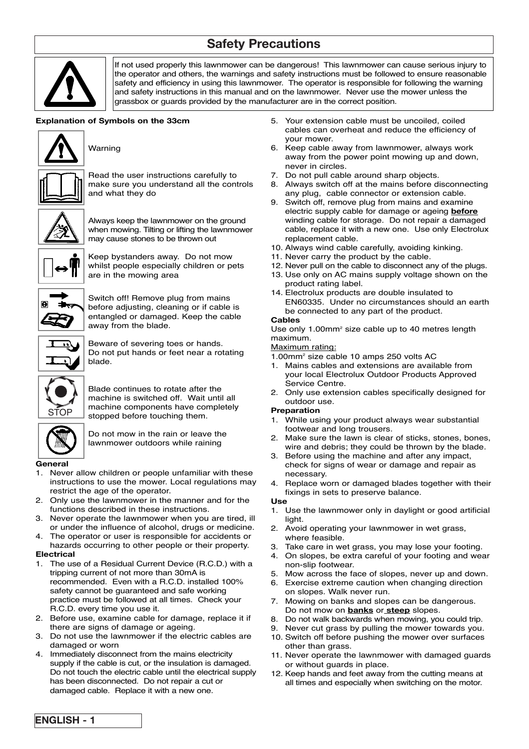## **Safety Precautions**



If not used properly this lawnmower can be dangerous! This lawnmower can cause serious injury to the operator and others, the warnings and safety instructions must be followed to ensure reasonable safety and efficiency in using this lawnmower. The operator is responsible for following the warning and safety instructions in this manual and on the lawnmower. Never use the mower unless the grassbox or guards provided by the manufacturer are in the correct position.

#### **Explanation of Symbols on the 33cm**



Warning



Read the user instructions carefully to make sure you understand all the controls and what they do



Always keep the lawnmower on the ground when mowing. Tilting or lifting the lawnmower may cause stones to be thrown out



Keep bystanders away. Do not mow whilst people especially children or pets are in the mowing area



Switch off! Remove plug from mains before adjusting, cleaning or if cable is entangled or damaged. Keep the cable away from the blade.



Beware of severing toes or hands. Do not put hands or feet near a rotating blade.



Blade continues to rotate after the machine is switched off. Wait until all machine components have completely stopped before touching them.



Do not mow in the rain or leave the lawnmower outdoors while raining

#### **General**

- 1. Never allow children or people unfamiliar with these instructions to use the mower. Local regulations may restrict the age of the operator.
- 2. Only use the lawnmower in the manner and for the functions described in these instructions.
- 3. Never operate the lawnmower when you are tired, ill or under the influence of alcohol, drugs or medicine.
- 4. The operator or user is responsible for accidents or hazards occurring to other people or their property.

#### **Electrical**

- The use of a Residual Current Device (R.C.D.) with a tripping current of not more than 30mA is recommended. Even with a R.C.D. installed 100% safety cannot be guaranteed and safe working practice must be followed at all times. Check your R.C.D. every time you use it.
- 2. Before use, examine cable for damage, replace it if there are signs of damage or ageing.
- 3. Do not use the lawnmower if the electric cables are damaged or worn
- 4. Immediately disconnect from the mains electricity supply if the cable is cut, or the insulation is damaged. Do not touch the electric cable until the electrical supply has been disconnected. Do not repair a cut or damaged cable. Replace it with a new one.
- 5. Your extension cable must be uncoiled, coiled cables can overheat and reduce the efficiency of your mower.
- 6. Keep cable away from lawnmower, always work away from the power point mowing up and down, never in circles.
- 7. Do not pull cable around sharp objects.
- 8. Always switch off at the mains before disconnecting any plug, cable connector or extension cable.
- 9. Switch off, remove plug from mains and examine electric supply cable for damage or ageing **before** winding cable for storage. Do not repair a damaged cable, replace it with a new one. Use only Electrolux replacement cable.
- 10. Always wind cable carefully, avoiding kinking.
- 11. Never carry the product by the cable.
- 12. Never pull on the cable to disconnect any of the plugs.
- 13. Use only on AC mains supply voltage shown on the product rating label.
- 14. Electrolux products are double insulated to EN60335. Under no circumstances should an earth be connected to any part of the product.

#### **Cables**

Use only 1.00mm<sup>2</sup> size cable up to 40 metres length maximum.

#### Maximum rating:

- 1.00mm2 size cable 10 amps 250 volts AC
- 1. Mains cables and extensions are available from your local Electrolux Outdoor Products Approved Service Centre.
- 2. Only use extension cables specifically designed for outdoor use.

#### **Preparation**

- 1. While using your product always wear substantial footwear and long trousers.
- 2. Make sure the lawn is clear of sticks, stones, bones, wire and debris; they could be thrown by the blade.
- 3. Before using the machine and after any impact, check for signs of wear or damage and repair as necessary.
- 4. Replace worn or damaged blades together with their fixings in sets to preserve balance.

#### **Use**

- 1. Use the lawnmower only in daylight or good artificial light.
- 2. Avoid operating your lawnmower in wet grass, where feasible.
- 3. Take care in wet grass, you may lose your footing.
- 4. On slopes, be extra careful of your footing and wear non-slip footwear.
- 5. Mow across the face of slopes, never up and down.
- 6. Exercise extreme caution when changing direction
- on slopes. Walk never run.
- 7. Mowing on banks and slopes can be dangerous. Do not mow on **banks** or **steep** slopes.
- 8. Do not walk backwards when mowing, you could trip.
- 9. Never cut grass by pulling the mower towards you.
- 10. Switch off before pushing the mower over surfaces other than grass.
- 11. Never operate the lawnmower with damaged guards or without guards in place.
- 12. Keep hands and feet away from the cutting means at all times and especially when switching on the motor.

**ENGLISH - 1**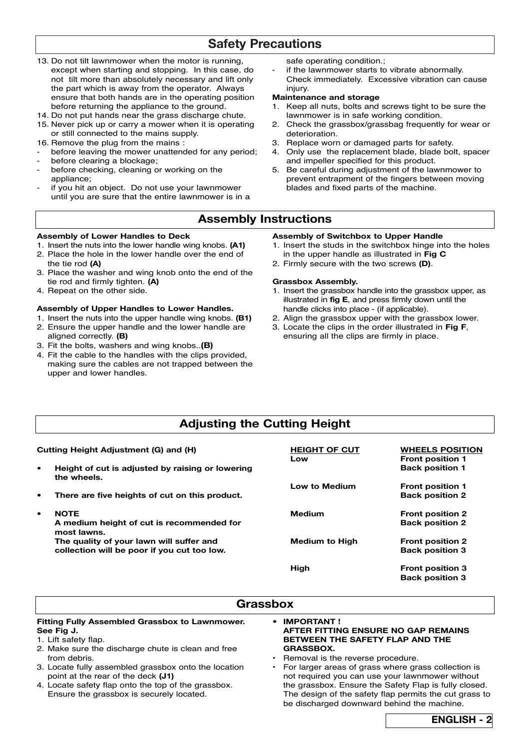## **Safety Precautions**

- 13. Do not tilt lawnmower when the motor is running, except when starting and stopping. In this case, do not tilt more than absolutely necessary and lift only the part which is away from the operator. Always ensure that both hands are in the operating position before returning the appliance to the ground.
- 14. Do not put hands near the grass discharge chute.
- 15. Never pick up or carry a mower when it is operating or still connected to the mains supply.
- 16. Remove the plug from the mains :
- before leaving the mower unattended for any period;
- before clearing a blockage;
- before checking, cleaning or working on the appliance;
- if you hit an object. Do not use your lawnmower until you are sure that the entire lawnmower is in a

safe operating condition.;

if the lawnmower starts to vibrate abnormally. Check immediately. Excessive vibration can cause injury.

#### **Maintenance and storage**

- 1. Keep all nuts, bolts and screws tight to be sure the lawnmower is in safe working condition.
- 2. Check the grassbox/grassbag frequently for wear or deterioration.
- 3. Replace worn or damaged parts for safety.
- 4. Only use the replacement blade, blade bolt, spacer and impeller specified for this product.
- 5. Be careful during adjustment of the lawnmower to prevent entrapment of the fingers between moving blades and fixed parts of the machine.

## **Assembly Instructions**

#### **Assembly of Lower Handles to Deck**

- 1. Insert the nuts into the lower handle wing knobs. **(A1)** 2. Place the hole in the lower handle over the end of the tie rod **(A)**
- 3. Place the washer and wing knob onto the end of the tie rod and firmly tighten. **(A)**
- 4. Repeat on the other side.

#### **Assembly of Upper Handles to Lower Handles.**

- 1. Insert the nuts into the upper handle wing knobs. **(B1)**
- 2. Ensure the upper handle and the lower handle are aligned correctly. **(B)**
- 3. Fit the bolts, washers and wing knobs..**(B)**
- 4. Fit the cable to the handles with the clips provided, making sure the cables are not trapped between the upper and lower handles.

#### **Assembly of Switchbox to Upper Handle**

- 1. Insert the studs in the switchbox hinge into the holes in the upper handle as illustrated in **Fig C**
- 2. Firmly secure with the two screws **(D)**.

#### **Grassbox Assembly.**

- 1. Insert the grassbox handle into the grassbox upper, as illustrated in **fig E**, and press firmly down until the handle clicks into place - (if applicable).
- 2. Align the grassbox upper with the grassbox lower.
- 3. Locate the clips in the order illustrated in **Fig F**, ensuring all the clips are firmly in place.

## **Adjusting the Cutting Height**

| Cutting Height Adjustment (G) and (H) |                                                                 | <b>HEIGHT OF CUT</b><br>Low | <b>WHEELS POSITION</b><br><b>Front position 1</b> |
|---------------------------------------|-----------------------------------------------------------------|-----------------------------|---------------------------------------------------|
| $\bullet$                             | Height of cut is adjusted by raising or lowering<br>the wheels. |                             | <b>Back position 1</b>                            |
|                                       |                                                                 | <b>Low to Medium</b>        | <b>Front position 1</b>                           |
| ٠                                     | There are five heights of cut on this product.                  |                             | <b>Back position 2</b>                            |
| $\bullet$                             | <b>NOTE</b>                                                     | Medium                      | <b>Front position 2</b>                           |
|                                       | A medium height of cut is recommended for<br>most lawns.        |                             | <b>Back position 2</b>                            |
|                                       | The quality of your lawn will suffer and                        | Medium to High              | <b>Front position 2</b>                           |
|                                       | collection will be poor if you cut too low.                     |                             | <b>Back position 3</b>                            |
|                                       |                                                                 | High                        | <b>Front position 3</b>                           |
|                                       |                                                                 |                             | <b>Back position 3</b>                            |

### **Grassbox**

#### **Fitting Fully Assembled Grassbox to Lawnmower. See Fig J.**

- 1. Lift safety flap.
- 2. Make sure the discharge chute is clean and free from debris.
- 3. Locate fully assembled grassbox onto the location point at the rear of the deck **(J1)**
- 4. Locate safety flap onto the top of the grassbox. Ensure the grassbox is securely located.

#### **• IMPORTANT ! AFTER FITTING ENSURE NO GAP REMAINS BETWEEN THE SAFETY FLAP AND THE GRASSBOX.**

- Removal is the reverse procedure.
- For larger areas of grass where grass collection is not required you can use your lawnmower without the grassbox. Ensure the Safety Flap is fully closed. The design of the safety flap permits the cut grass to be discharged downward behind the machine.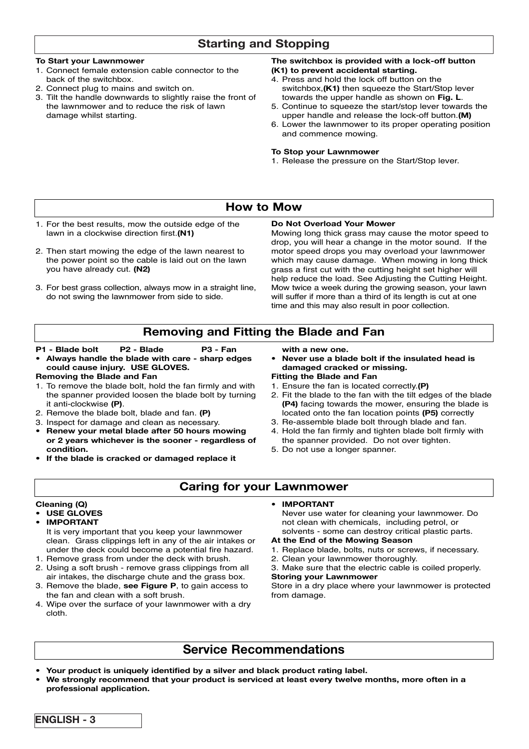## **Starting and Stopping**

#### **To Start your Lawnmower**

- 1. Connect female extension cable connector to the back of the switchbox.
- 2. Connect plug to mains and switch on.
- 3. Tilt the handle downwards to slightly raise the front of the lawnmower and to reduce the risk of lawn damage whilst starting.

#### **The switchbox is provided with a lock-off button (K1) to prevent accidental starting.**

- 4. Press and hold the lock off button on the switchbox,**(K1)** then squeeze the Start/Stop lever towards the upper handle as shown on **Fig. L**.
- 5. Continue to squeeze the start/stop lever towards the upper handle and release the lock-off button.**(M)**
- 6. Lower the lawnmower to its proper operating position and commence mowing.

#### **To Stop your Lawnmower**

1. Release the pressure on the Start/Stop lever.

## **How to Mow**

- 1. For the best results, mow the outside edge of the lawn in a clockwise direction first.**(N1)**
- 2. Then start mowing the edge of the lawn nearest to the power point so the cable is laid out on the lawn you have already cut. **(N2)**
- 3. For best grass collection, always mow in a straight line. do not swing the lawnmower from side to side.

#### **Do Not Overload Your Mower**

Mowing long thick grass may cause the motor speed to drop, you will hear a change in the motor sound. If the motor speed drops you may overload your lawnmower which may cause damage. When mowing in long thick grass a first cut with the cutting height set higher will help reduce the load. See Adjusting the Cutting Height. Mow twice a week during the growing season, your lawn will suffer if more than a third of its length is cut at one time and this may also result in poor collection.

## **Removing and Fitting the Blade and Fan**

#### **P1 - Blade bolt P2 - Blade P3 - Fan**

**• Always handle the blade with care - sharp edges could cause injury. USE GLOVES.**

#### **Removing the Blade and Fan**

- 1. To remove the blade bolt, hold the fan firmly and with the spanner provided loosen the blade bolt by turning it anti-clockwise **(P)**.
- 2. Remove the blade bolt, blade and fan. **(P)**
- 3. Inspect for damage and clean as necessary.
- **Renew your metal blade after 50 hours mowing or 2 years whichever is the sooner - regardless of condition.**
- **If the blade is cracked or damaged replace it**

**with a new one.**

- **Never use a blade bolt if the insulated head is damaged cracked or missing.**
- **Fitting the Blade and Fan**
- 1. Ensure the fan is located correctly.**(P)**
- 2. Fit the blade to the fan with the tilt edges of the blade **(P4)** facing towards the mower, ensuring the blade is located onto the fan location points **(P5)** correctly
- 3. Re-assemble blade bolt through blade and fan.
- 4. Hold the fan firmly and tighten blade bolt firmly with the spanner provided. Do not over tighten.
- 5. Do not use a longer spanner.

## **Caring for your Lawnmower**

#### **Cleaning (Q)**

#### **• USE GLOVES**

- **IMPORTANT** It is very important that you keep your lawnmower clean. Grass clippings left in any of the air intakes or under the deck could become a potential fire hazard.
- 1. Remove grass from under the deck with brush. 2. Using a soft brush - remove grass clippings from all
- air intakes, the discharge chute and the grass box. 3. Remove the blade, **see Figure P**, to gain access to the fan and clean with a soft brush.
- 4. Wipe over the surface of your lawnmower with a dry cloth.

#### **• IMPORTANT**

Never use water for cleaning your lawnmower. Do not clean with chemicals, including petrol, or solvents - some can destroy critical plastic parts.

#### **At the End of the Mowing Season**

- 1. Replace blade, bolts, nuts or screws, if necessary.
- 2. Clean your lawnmower thoroughly.
- 3. Make sure that the electric cable is coiled properly. **Storing your Lawnmower**

Store in a dry place where your lawnmower is protected from damage.

## **Service Recommendations**

- **Your product is uniquely identified by a silver and black product rating label.**
- **We strongly recommend that your product is serviced at least every twelve months, more often in a professional application.**

| ENGLISH - |
|-----------|
|-----------|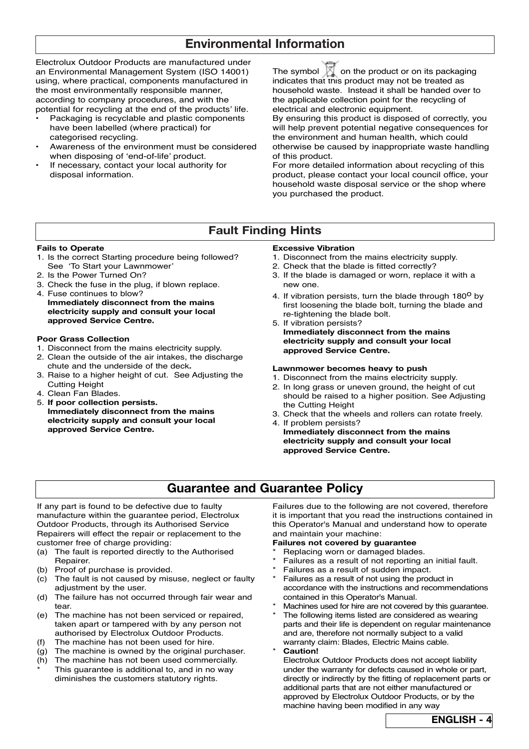## **Environmental Information**

Electrolux Outdoor Products are manufactured under an Environmental Management System (ISO 14001) using, where practical, components manufactured in the most environmentally responsible manner, according to company procedures, and with the potential for recycling at the end of the products' life.

- Packaging is recyclable and plastic components have been labelled (where practical) for categorised recycling.
- Awareness of the environment must be considered when disposing of 'end-of-life' product.
- If necessary, contact your local authority for disposal information.

The symbol  $\sqrt{\phantom{a}}$  on the product or on its packaging indicates that this product may not be treated as household waste. Instead it shall be handed over to the applicable collection point for the recycling of electrical and electronic equipment.

By ensuring this product is disposed of correctly, you will help prevent potential negative consequences for the environment and human health, which could otherwise be caused by inappropriate waste handling of this product.

For more detailed information about recycling of this product, please contact your local council office, your household waste disposal service or the shop where you purchased the product.

## **Fault Finding Hints**

#### **Fails to Operate**

- 1. Is the correct Starting procedure being followed? See 'To Start your Lawnmower'
- 2. Is the Power Turned On?
- 3. Check the fuse in the plug, if blown replace.
- 4. Fuse continues to blow? **Immediately disconnect from the mains electricity supply and consult your local approved Service Centre.**

#### **Poor Grass Collection**

- 1. Disconnect from the mains electricity supply.
- 2. Clean the outside of the air intakes, the discharge chute and the underside of the deck**.**
- 3. Raise to a higher height of cut. See Adjusting the Cutting Height
- 4. Clean Fan Blades.
- 5. **If poor collection persists. Immediately disconnect from the mains electricity supply and consult your local approved Service Centre.**

#### **Excessive Vibration**

- 1. Disconnect from the mains electricity supply.
- 2. Check that the blade is fitted correctly?
- 3. If the blade is damaged or worn, replace it with a new one.
- 4. If vibration persists, turn the blade through 180<sup>0</sup> by first loosening the blade bolt, turning the blade and re-tightening the blade bolt.
- 5. If vibration persists? **Immediately disconnect from the mains electricity supply and consult your local approved Service Centre.**

#### **Lawnmower becomes heavy to push**

- 1. Disconnect from the mains electricity supply.
- 2. In long grass or uneven ground, the height of cut should be raised to a higher position. See Adjusting the Cutting Height
- 3. Check that the wheels and rollers can rotate freely. 4. If problem persists?
- **Immediately disconnect from the mains electricity supply and consult your local approved Service Centre.**

## **Guarantee and Guarantee Policy**

If any part is found to be defective due to faulty manufacture within the guarantee period, Electrolux Outdoor Products, through its Authorised Service Repairers will effect the repair or replacement to the customer free of charge providing:

- (a) The fault is reported directly to the Authorised Repairer.
- (b) Proof of purchase is provided.<br>(c) The fault is not caused by mis
- The fault is not caused by misuse, neglect or faulty adjustment by the user.
- (d) The failure has not occurred through fair wear and tear.
- (e) The machine has not been serviced or repaired, taken apart or tampered with by any person not authorised by Electrolux Outdoor Products.
- (f) The machine has not been used for hire.
- (g) The machine is owned by the original purchaser.
- (h) The machine has not been used commercially. This guarantee is additional to, and in no way diminishes the customers statutory rights.

Failures due to the following are not covered, therefore it is important that you read the instructions contained in this Operator's Manual and understand how to operate and maintain your machine:

#### **Failures not covered by guarantee**

- Replacing worn or damaged blades.
- Failures as a result of not reporting an initial fault.
- Failures as a result of sudden impact.
- Failures as a result of not using the product in accordance with the instructions and recommendations contained in this Operator's Manual.
- Machines used for hire are not covered by this quarantee.
- The following items listed are considered as wearing parts and their life is dependent on regular maintenance and are, therefore not normally subject to a valid warranty claim: Blades, Electric Mains cable.
- $Caution!$

Electrolux Outdoor Products does not accept liability under the warranty for defects caused in whole or part, directly or indirectly by the fitting of replacement parts or additional parts that are not either manufactured or approved by Electrolux Outdoor Products, or by the machine having been modified in any way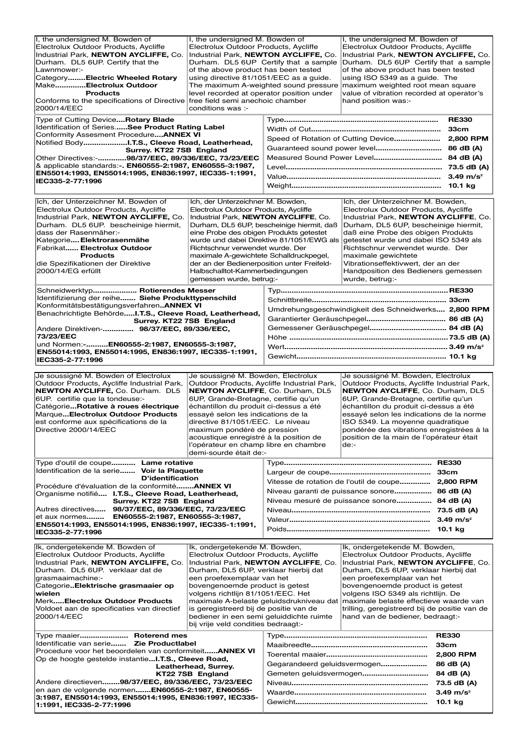| I, the undersigned M. Bowden of<br>I, the undersigned M. Bowden of<br>Electrolux Outdoor Products, Aycliffe<br>Electrolux Outdoor Products, Aycliffe<br>Industrial Park, NEWTON AYCLIFFE, Co.<br>Durham. DL5 6UP. Certify that the<br>Lawnmower:-<br>of the above product has been tested<br>CategoryElectric Wheeled Rotary<br>using directive 81/1051/EEC as a quide.<br>MakeElectrolux Outdoor<br><b>Products</b><br>level recorded at operator position under<br>Conforms to the specifications of Directive free field semi anechoic chamber<br>2000/14/EEC<br>conditions was :-<br>Type of Cutting Device Rotary Blade<br>Identification of SeriesSee Product Rating Label<br>Conformity Assesment Procedure ANNEX VI<br>Notified BodyI.T.S., Cleeve Road, Leatherhead,<br>Surrey. KT22 7SB England<br>Other Directives:-98/37/EEC, 89/336/EEC, 73/23/EEC<br>& applicable standards:-. EN60555-2:1987, EN60555-3:1987,<br>EN55014:1993, EN55014:1995, EN836:1997, IEC335-1:1991,<br>IEC335-2-77:1996 |                                                                                                                                                                                                                                                                                                                                                                                              | I, the undersigned M. Bowden of<br>Electrolux Outdoor Products, Aycliffe<br>Industrial Park, NEWTON AYCLIFFE, Co.<br>Industrial Park. NEWTON AYCLIFFE. Co.<br>Durham. DL5 6UP Certify that a sample<br>Durham. DL5 6UP Certify that a sample<br>of the above product has been tested<br>using ISO 5349 as a guide. The<br>The maximum A-weighted sound pressure maximum weighted root mean square<br>value of vibration recorded at operator's<br>hand position was:-<br><b>RE330</b> |                                                                                                                                                                                                                                                                                                                                                                                                                                          |                                                                        |
|------------------------------------------------------------------------------------------------------------------------------------------------------------------------------------------------------------------------------------------------------------------------------------------------------------------------------------------------------------------------------------------------------------------------------------------------------------------------------------------------------------------------------------------------------------------------------------------------------------------------------------------------------------------------------------------------------------------------------------------------------------------------------------------------------------------------------------------------------------------------------------------------------------------------------------------------------------------------------------------------------------|----------------------------------------------------------------------------------------------------------------------------------------------------------------------------------------------------------------------------------------------------------------------------------------------------------------------------------------------------------------------------------------------|---------------------------------------------------------------------------------------------------------------------------------------------------------------------------------------------------------------------------------------------------------------------------------------------------------------------------------------------------------------------------------------------------------------------------------------------------------------------------------------|------------------------------------------------------------------------------------------------------------------------------------------------------------------------------------------------------------------------------------------------------------------------------------------------------------------------------------------------------------------------------------------------------------------------------------------|------------------------------------------------------------------------|
| Ich, der Unterzeichner M. Bowden of<br>Electrolux Outdoor Products, Aycliffe<br>Industrial Park, NEWTON AYCLIFFE, Co.<br>Durham. DL5 6UP. bescheinige hiermit,<br>dass der Rasenmäher:-<br>Kategorie Elektrorasenmähe<br>Fabrikat Electrolux Outdoor<br>Products<br>die Spezifikationen der Direktive<br>2000/14/EG erfüllt<br>Schneidwerktyp Rotierendes Messer                                                                                                                                                                                                                                                                                                                                                                                                                                                                                                                                                                                                                                           | Ich, der Unterzeichner M. Bowden,<br>Electrolux Outdoor Products, Aycliffe<br>Industrial Park, NEWTON AYCLIFFE, Co.<br>eine Probe des obigen Produkts getestet<br>Richtschnur verwendet wurde. Der<br>maximale A-gewichtete Schalldruckpegel,<br>der an der Bedienerposition unter Freifeld-<br>Halbschalltot-Kammerbedingungen<br>gemessen wurde, betrug:-                                  | Durham, DL5 6UP, bescheinige hiermit, daß<br>wurde und dabei Direktive 81/1051/EWG als                                                                                                                                                                                                                                                                                                                                                                                                | Ich, der Unterzeichner M. Bowden,<br>Electrolux Outdoor Products, Aycliffe<br>Industrial Park, NEWTON AYCLIFFE, Co.<br>Durham, DL5 6UP, bescheinige hiermit,<br>daß eine Probe des obigen Produkts<br>getestet wurde und dabei ISO 5349 als<br>Richtschnur verwendet wurde. Der<br>maximale gewichtete<br>Vibrationseffektivwert, der an der<br>Handposition des Bedieners gemessen<br>wurde, betrug:-                                   |                                                                        |
| Identifizierung der reihe Siehe Produkttypenschild<br>KonformitätsbestätigungsverfahrenANNEX VI<br>Benachrichtigte BehördeI.T.S., Cleeve Road, Leatherhead,<br>Surrey. KT22 7SB England<br>Andere Direktiven- 98/37/EEC, 89/336/EEC,<br>73/23/EEC<br>und Normen:-EN60555-2:1987, EN60555-3:1987,<br>EN55014:1993, EN55014:1995, EN836:1997, IEC335-1:1991,<br>IEC335-2-77:1996                                                                                                                                                                                                                                                                                                                                                                                                                                                                                                                                                                                                                             |                                                                                                                                                                                                                                                                                                                                                                                              | Umdrehungsgeschwindigkeit des Schneidwerks 2,800 RPM                                                                                                                                                                                                                                                                                                                                                                                                                                  |                                                                                                                                                                                                                                                                                                                                                                                                                                          |                                                                        |
| Je soussigné M. Bowden of Electrolux<br>Je soussigné M. Bowden, Electrolux<br>Outdoor Products, Aycliffe Industrial Park,<br>Outdoor Products, Aycliffe Industrial Park,<br>NEWTON AYCLIFFE, Co. Durham. DL5<br>NEWTON AYCLIFFE, Co. Durham, DL5<br>6UP. certifie que la tondeuse:-<br>6UP, Grande-Bretagne, certifie qu'un<br>CatégorieRotative à roues électrique<br>échantillon du produit ci-dessus a été<br>MarqueElectrolux Outdoor Products<br>essayé selon les indications de la<br>est conforme aux spécifications de la<br>directive 81/1051/EEC. Le niveau<br>Directive 2000/14/EEC<br>maximum pondéré de pression<br>acoustique enregistré à la position de<br>l'opérateur en champ libre en chambre<br>demi-sourde était de:-                                                                                                                                                                                                                                                                 |                                                                                                                                                                                                                                                                                                                                                                                              |                                                                                                                                                                                                                                                                                                                                                                                                                                                                                       | Je soussigné M. Bowden, Electrolux<br>Outdoor Products, Aycliffe Industrial Park,<br>NEWTON AYCLIFFE, Co. Durham, DL5<br>6UP, Grande-Bretagne, certifie qu'un<br>échantillon du produit ci-dessus a été<br>essayé selon les indications de la norme<br>ISO 5349. La moyenne quadratique<br>pondérée des vibrations enregistrées à la<br>position de la main de l'opérateur était<br>de:-                                                 |                                                                        |
| Type d'outil de coupe Lame rotative<br>Identification de la serie Voir la Plaquette<br><b>D'identification</b><br>Procédure d'évaluation de la conformitéANNEX VI<br>Organisme notifié I.T.S., Cleeve Road, Leatherhead,<br>Surrey. KT22 7SB England<br>Autres directives 98/37/EEC, 89/336/EEC, 73/23/EEC<br>et aux normes EN60555-2:1987, EN60555-3:1987,<br>EN55014:1993, EN55014:1995, EN836:1997, IEC335-1:1991,<br>IEC335-2-77:1996                                                                                                                                                                                                                                                                                                                                                                                                                                                                                                                                                                  |                                                                                                                                                                                                                                                                                                                                                                                              | Vitesse de rotation de l'outil de coupe 2,800 RPM<br>Niveau garanti de puissance sonore 86 dB (A)<br>Niveau mesuré de puissance sonore 84 dB (A)                                                                                                                                                                                                                                                                                                                                      |                                                                                                                                                                                                                                                                                                                                                                                                                                          |                                                                        |
| Ik, ondergetekende M. Bowden of<br>Electrolux Outdoor Products, Aycliffe<br>Industrial Park, NEWTON AYCLIFFE, Co.<br>Durham. DL5 6UP. verklaar dat de<br>grasmaaimachine:-<br>CategorieElektrische grasmaaier op<br>wielen<br>MerkElectrolux Outdoor Products<br>Voldoet aan de specificaties van directief<br>2000/14/EEC                                                                                                                                                                                                                                                                                                                                                                                                                                                                                                                                                                                                                                                                                 | Ik, ondergetekende M. Bowden,<br>Electrolux Outdoor Products, Aycliffe<br>Industrial Park, NEWTON AYCLIFFE, Co.<br>Durham, DL5 6UP, verklaar hierbij dat<br>een proefexemplaar van het<br>bovengenoemde product is getest<br>volgens richtlijn 81/1051/EEC. Het<br>is geregistreerd bij de positie van de<br>bediener in een semi geluiddichte ruimte<br>bij vrije veld condities bedraagt:- |                                                                                                                                                                                                                                                                                                                                                                                                                                                                                       | Ik, ondergetekende M. Bowden,<br>Electrolux Outdoor Products, Avcliffe<br>Industrial Park, NEWTON AYCLIFFE, Co.<br>Durham, DL5 6UP, verklaar hierbij dat<br>een proefexemplaar van het<br>bovengenoemde product is getest<br>volgens ISO 5349 als richtlijn. De<br>maximale A-belaste geluidsdrukniveau dat  maximale belaste effectieve waarde van<br>trilling, geregistreerd bij de positie van de<br>hand van de bediener, bedraagt:- |                                                                        |
| Type maaier Roterend mes<br>Identificatie van serie Zie Productlabel<br>Procedure voor het beoordelen van conformiteitANNEX VI<br>Op de hoogte gestelde instantieI.T.S., Cleeve Road,<br>Leatherhead, Surrey.<br>KT22 7SB England<br>Andere directieven98/37/EEC, 89/336/EEC, 73/23/EEC<br>en aan de volgende normen EN60555-2:1987, EN60555-<br>3:1987, EN55014:1993, EN55014:1995, EN836:1997, IEC335-<br>1:1991, IEC335-2-77:1996                                                                                                                                                                                                                                                                                                                                                                                                                                                                                                                                                                       |                                                                                                                                                                                                                                                                                                                                                                                              | Gegarandeerd geluidsvermogen                                                                                                                                                                                                                                                                                                                                                                                                                                                          |                                                                                                                                                                                                                                                                                                                                                                                                                                          | <b>RE330</b><br>33cm<br>2,800 RPM<br>86 dB (A)<br>$3.49 \text{ m/s}^2$ |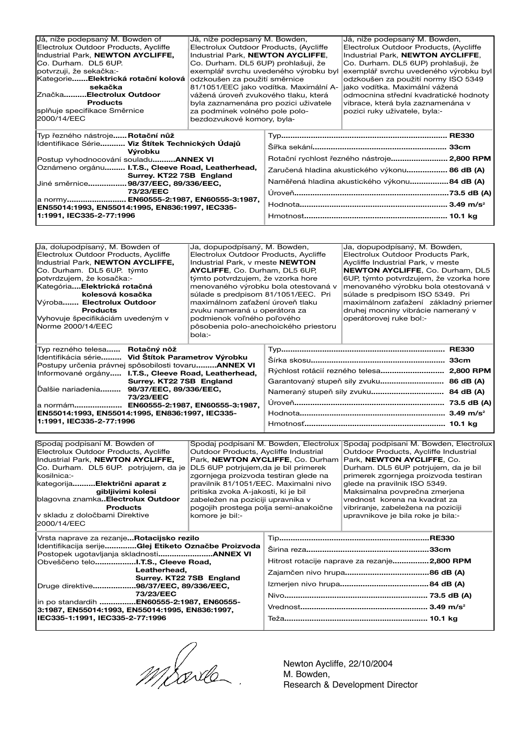| Já, níže podepsaný M. Bowden of                                                                                                                                                                                                                              | Já, níže podepsaný M. Bowden,         |                                               | Já, níže podepsaný M. Bowden,               |
|--------------------------------------------------------------------------------------------------------------------------------------------------------------------------------------------------------------------------------------------------------------|---------------------------------------|-----------------------------------------------|---------------------------------------------|
| Electrolux Outdoor Products, Aycliffe<br>Electrolux Outdoor Products, (Aycliffe                                                                                                                                                                              |                                       |                                               | Electrolux Outdoor Products, (Aycliffe      |
| Industrial Park, NEWTON AYCLIFFE,                                                                                                                                                                                                                            | Industrial Park. NEWTON AYCLIFFE.     |                                               | Industrial Park. NEWTON AYCLIFFE.           |
| ICo. Durham. DL5 6UP.<br>Co. Durham. DL5 6UP) prohlašuji, že                                                                                                                                                                                                 |                                       |                                               | Co. Durham. DL5 6UP) prohlašuji, že         |
| potvrzuji, že sekačka:-                                                                                                                                                                                                                                      |                                       | exemplář svrchu uvedeného výrobku byl         | exemplář svrchu uvedeného výrobku byl       |
| KategorieElektrická rotační kolová<br>odzkoušen za použití směrnice                                                                                                                                                                                          |                                       |                                               | odzkoušen za použití normy ISO 5349         |
| sekačka                                                                                                                                                                                                                                                      |                                       | 81/1051/EEC jako vodítka. Maximální A-        | jako vodítka. Maximální vážená              |
| ZnačkaElectrolux Outdoor<br>vážená úroveň zvukového tlaku, která                                                                                                                                                                                             |                                       |                                               | odmocnina střední kvadratické hodnoty       |
| <b>Products</b>                                                                                                                                                                                                                                              | byla zaznamenána pro pozici uživatele |                                               | vibrace, která byla zaznamenána v           |
| splňuje specifikace Směrnice                                                                                                                                                                                                                                 | za podmínek volného pole polo-        |                                               | pozici ruky uživatele, byla:-               |
| 2000/14/EEC                                                                                                                                                                                                                                                  | bezdozvukové komory, byla-            |                                               |                                             |
|                                                                                                                                                                                                                                                              |                                       |                                               |                                             |
| Typ řezného nástrojeRotační nůž                                                                                                                                                                                                                              |                                       |                                               |                                             |
| Identifikace Série Viz Stítek Technických Údajů                                                                                                                                                                                                              |                                       |                                               |                                             |
| Výrobku                                                                                                                                                                                                                                                      |                                       |                                               |                                             |
| Postup vyhodnocování souladuANNEX VI                                                                                                                                                                                                                         |                                       |                                               | Rotační rychlost řezného nástroje 2,800 RPM |
| Oznámeno orgánu I.T.S., Cleeve Road, Leatherhead,<br>Surrey. KT22 7SB England<br>Jiné směrnice 98/37/EEC, 89/336/EEC,<br>73/23/EEC<br>a normy EN60555-2:1987, EN60555-3:1987,<br>EN55014:1993, EN55014:1995, EN836:1997, IEC335-<br>1:1991, IEC335-2-77:1996 |                                       | Zaručená hladina akustického výkonu 86 dB (A) |                                             |
|                                                                                                                                                                                                                                                              |                                       |                                               |                                             |
|                                                                                                                                                                                                                                                              |                                       | Naměřená hladina akustického výkonu84 dB (A)  |                                             |
|                                                                                                                                                                                                                                                              |                                       |                                               |                                             |
|                                                                                                                                                                                                                                                              |                                       |                                               |                                             |
|                                                                                                                                                                                                                                                              |                                       |                                               |                                             |
|                                                                                                                                                                                                                                                              |                                       |                                               |                                             |
|                                                                                                                                                                                                                                                              |                                       |                                               |                                             |

| Ja, dolupodpísaný, M. Bowden of                                                | Ja, dopupodpísaný, M. Bowden,         |                                 | Ja, dopupodpísaný, M. Bowden,             |           |
|--------------------------------------------------------------------------------|---------------------------------------|---------------------------------|-------------------------------------------|-----------|
| Electrolux Outdoor Products, Avcliffe<br>Electrolux Outdoor Products, Aycliffe |                                       |                                 | Electrolux Outdoor Products Park.         |           |
| Industrial Park. NEWTON AYCLIFFE.                                              |                                       | Industrial Park. v meste NEWTON | Avcliffe Industrial Park, y meste         |           |
| Co. Durham. DL5 6UP. týmto                                                     | AYCLIFFE, Co. Durham, DL5 6UP,        |                                 | NEWTON AYCLIFFE, Co. Durham, DL5          |           |
| potvrdzujem, že kosačka:-                                                      | týmto potvrdzujem, že vzorka hore     |                                 | 6UP, týmto potvrdzujem, že vzorka hore    |           |
| KategóriaElektrická rotačná                                                    | menovaného výrobku bola otestovaná v  |                                 | menovaného výrobku bola otestovaná v      |           |
| kolesová kosačka                                                               | súlade s predpisom 81/1051/EEC. Pri   |                                 | súlade s predpisom ISO 5349. Pri          |           |
| Výroba Electrolux Outdoor                                                      | maximálnom zaťažení úroveň tlaku      |                                 | maximálnom zaťažení základný priemer      |           |
| <b>Products</b>                                                                | zvuku nameraná u operátora za         |                                 | druhej mocniny vibrácie nameraný v        |           |
| Vyhovuje špecifikáciám uvedeným v                                              | podmienok voľného poľového            |                                 | operátorovej ruke bol:-                   |           |
| Norme 2000/14/EEC                                                              | pôsobenia polo-anechoického priestoru |                                 |                                           |           |
|                                                                                | bola:-                                |                                 |                                           |           |
|                                                                                |                                       |                                 |                                           |           |
| Typ rezného telesa Rotačný nôž                                                 |                                       |                                 |                                           |           |
| Identifikácia série Vid Štítok Parametrov Výrobku                              |                                       |                                 |                                           |           |
| Postupy určenia právnej spôsobilosti tovaruANNEX VI                            |                                       |                                 |                                           |           |
| Informované orgány I.T.S., Cleeve Road, Leatherhead,                           |                                       |                                 | Rýchlost rotácií rezného telesa 2,800 RPM |           |
| Surrey. KT22 7SB England                                                       |                                       |                                 |                                           | 86 dB (A) |
| Dalšie nariadenia 98/37/EEC, 89/336/EEC,                                       |                                       |                                 |                                           | 84 dB (A) |
| 73/23/EEC                                                                      |                                       |                                 |                                           |           |
| a normám EN60555-2:1987, EN60555-3:1987,                                       |                                       |                                 |                                           |           |
| EN55014:1993, EN55014:1995, EN836:1997, IEC335-<br>1:1991. IEC335-2-77:1996    |                                       |                                 |                                           |           |

| Spodaj podpisani M. Bowden of                                                                                                                                                                                                                                                                                                            |                                       | Spodai podpisani M. Bowden, Electrolux       | Spodai podpisani M. Bowden, Electrolux                         |  |
|------------------------------------------------------------------------------------------------------------------------------------------------------------------------------------------------------------------------------------------------------------------------------------------------------------------------------------------|---------------------------------------|----------------------------------------------|----------------------------------------------------------------|--|
| Electrolux Outdoor Products, Aycliffe                                                                                                                                                                                                                                                                                                    | Outdoor Products, Aycliffe Industrial |                                              | Outdoor Products, Aycliffe Industrial                          |  |
| Industrial Park, NEWTON AYCLIFFE,                                                                                                                                                                                                                                                                                                        |                                       | Park, NEWTON AYCLIFFE, Co. Durham            | Park, NEWTON AYCLIFFE, Co.                                     |  |
| Co. Durham. DL5 6UP. potriujem, da je<br>DL5 6UP potrjujem, da je bil primerek                                                                                                                                                                                                                                                           |                                       | Durham. DL5 6UP potrjujem, da je bil         |                                                                |  |
| kosilnica:-                                                                                                                                                                                                                                                                                                                              | zgornjega proizvoda testiran glede na |                                              | primerek zgornjega proizvoda testiran                          |  |
| kategorijaElektrični aparat z                                                                                                                                                                                                                                                                                                            | pravilnik 81/1051/EEC. Maximalni nivo |                                              | glede na pravilnik ISO 5349.                                   |  |
| gibljivimi kolesi                                                                                                                                                                                                                                                                                                                        | pritiska zvoka A-jakosti, ki je bil   |                                              | Maksimalna povprečna zmerjena<br>vrednost korena na kvadrat za |  |
| blagovna znamkaElectrolux Outdoor<br>zabeležen na poziciji upravnika v<br><b>Products</b>                                                                                                                                                                                                                                                |                                       |                                              |                                                                |  |
|                                                                                                                                                                                                                                                                                                                                          |                                       | pogojih prostega polja semi-anakoične        | vibriranje, zabeležena na poziciji                             |  |
| lv skladu z določbami Direktive                                                                                                                                                                                                                                                                                                          | komore je bil:-                       |                                              | upravnikove je bila roke je bila:-                             |  |
| 12000/14/EEC                                                                                                                                                                                                                                                                                                                             |                                       |                                              |                                                                |  |
|                                                                                                                                                                                                                                                                                                                                          |                                       |                                              |                                                                |  |
| Vrsta naprave za rezanjeRotacijsko rezilo<br>Identifikacija serijeGlej Etiketo Označbe Proizvoda<br>Obveščeno teloI.T.S., Cleeve Road,<br>Leatherhead.<br>Surrey. KT22 7SB England<br>Druge direktive98/37/EEC, 89/336/EEC,<br>73/23/EEC<br>in po standardih EN60555-2:1987, EN60555-<br>3:1987, EN55014:1993, EN55014:1995, EN836:1997, |                                       |                                              |                                                                |  |
|                                                                                                                                                                                                                                                                                                                                          |                                       |                                              |                                                                |  |
|                                                                                                                                                                                                                                                                                                                                          |                                       |                                              |                                                                |  |
|                                                                                                                                                                                                                                                                                                                                          |                                       | Hitrost rotacije naprave za rezanje2,800 RPM |                                                                |  |
|                                                                                                                                                                                                                                                                                                                                          |                                       |                                              |                                                                |  |
|                                                                                                                                                                                                                                                                                                                                          |                                       |                                              |                                                                |  |
|                                                                                                                                                                                                                                                                                                                                          |                                       |                                              |                                                                |  |
|                                                                                                                                                                                                                                                                                                                                          |                                       |                                              |                                                                |  |
|                                                                                                                                                                                                                                                                                                                                          |                                       |                                              |                                                                |  |
|                                                                                                                                                                                                                                                                                                                                          |                                       |                                              |                                                                |  |
| IEC335-1:1991, IEC335-2-77:1996                                                                                                                                                                                                                                                                                                          |                                       |                                              |                                                                |  |
|                                                                                                                                                                                                                                                                                                                                          |                                       |                                              |                                                                |  |

Newton Aycliffe, 22/10/2004 M. Bowden, Research & Development Director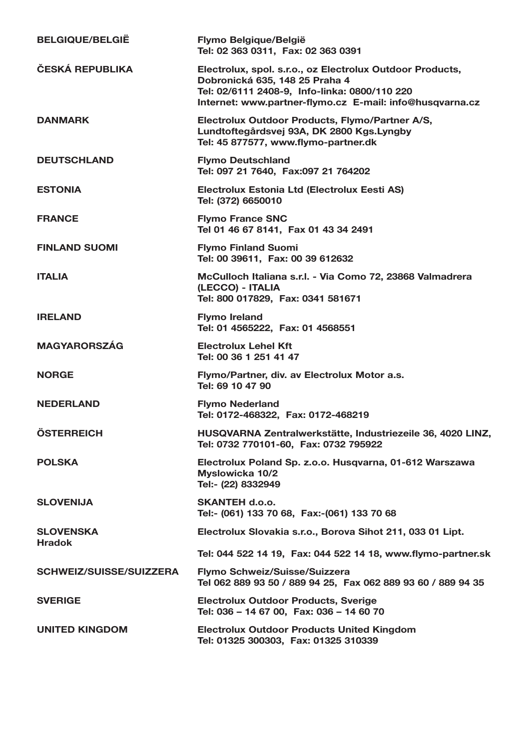| <b>BELGIQUE/BELGIË</b>            | Flymo Belgique/België<br>Tel: 02 363 0311, Fax: 02 363 0391                                                                                                                                              |
|-----------------------------------|----------------------------------------------------------------------------------------------------------------------------------------------------------------------------------------------------------|
| ČESKÁ REPUBLIKA                   | Electrolux, spol. s.r.o., oz Electrolux Outdoor Products,<br>Dobronická 635, 148 25 Praha 4<br>Tel: 02/6111 2408-9, Info-linka: 0800/110 220<br>Internet: www.partner-flymo.cz E-mail: info@husqvarna.cz |
| <b>DANMARK</b>                    | Electrolux Outdoor Products, Flymo/Partner A/S,<br>Lundtoftegårdsvej 93A, DK 2800 Kgs.Lyngby<br>Tel: 45 877577, www.flymo-partner.dk                                                                     |
| <b>DEUTSCHLAND</b>                | <b>Flymo Deutschland</b><br>Tel: 097 21 7640, Fax:097 21 764202                                                                                                                                          |
| <b>ESTONIA</b>                    | Electrolux Estonia Ltd (Electrolux Eesti AS)<br>Tel: (372) 6650010                                                                                                                                       |
| <b>FRANCE</b>                     | <b>Flymo France SNC</b><br>Tel 01 46 67 8141, Fax 01 43 34 2491                                                                                                                                          |
| <b>FINLAND SUOMI</b>              | <b>Flymo Finland Suomi</b><br>Tel: 00 39611, Fax: 00 39 612632                                                                                                                                           |
| <b>ITALIA</b>                     | McCulloch Italiana s.r.l. - Via Como 72, 23868 Valmadrera<br>(LECCO) - ITALIA<br>Tel: 800 017829, Fax: 0341 581671                                                                                       |
| <b>IRELAND</b>                    | <b>Flymo Ireland</b><br>Tel: 01 4565222, Fax: 01 4568551                                                                                                                                                 |
| <b>MAGYARORSZÁG</b>               | <b>Electrolux Lehel Kft</b><br>Tel: 00 36 1 251 41 47                                                                                                                                                    |
| <b>NORGE</b>                      | Flymo/Partner, div. av Electrolux Motor a.s.<br>Tel: 69 10 47 90                                                                                                                                         |
| <b>NEDERLAND</b>                  | <b>Flymo Nederland</b><br>Tel: 0172-468322, Fax: 0172-468219                                                                                                                                             |
| <b>ÖSTERREICH</b>                 | HUSQVARNA Zentralwerkstätte, Industriezeile 36, 4020 LINZ,<br>Tel: 0732 770101-60, Fax: 0732 795922                                                                                                      |
| <b>POLSKA</b>                     | Electrolux Poland Sp. z.o.o. Husqvarna, 01-612 Warszawa<br>Myslowicka 10/2<br>Tel:- (22) 8332949                                                                                                         |
| <b>SLOVENIJA</b>                  | <b>SKANTEH d.o.o.</b><br>Tel:- (061) 133 70 68, Fax:-(061) 133 70 68                                                                                                                                     |
| <b>SLOVENSKA</b><br><b>Hradok</b> | Electrolux Slovakia s.r.o., Borova Sihot 211, 033 01 Lipt.                                                                                                                                               |
|                                   | Tel: 044 522 14 19, Fax: 044 522 14 18, www.flymo-partner.sk                                                                                                                                             |
| SCHWEIZ/SUISSE/SUIZZERA           | Flymo Schweiz/Suisse/Suizzera<br>Tel 062 889 93 50 / 889 94 25, Fax 062 889 93 60 / 889 94 35                                                                                                            |
| <b>SVERIGE</b>                    | Electrolux Outdoor Products, Sverige<br>Tel: 036 - 14 67 00, Fax: 036 - 14 60 70                                                                                                                         |
| <b>UNITED KINGDOM</b>             | Electrolux Outdoor Products United Kingdom<br>Tel: 01325 300303, Fax: 01325 310339                                                                                                                       |